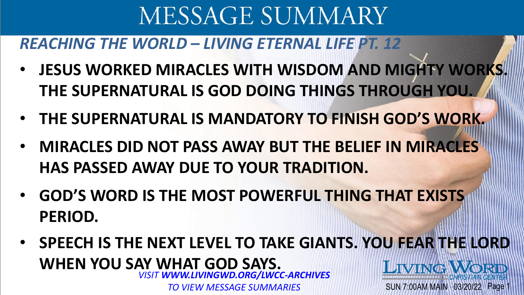### *REACHING THE WORLD – LIVING ETERNAL LIFE PT. 12*

- **JESUS WORKED MIRACLES WITH WISDOM AND MIGHTY WORKS. THE SUPERNATURAL IS GOD DOING THINGS THROUGH YOU.**
- **THE SUPERNATURAL IS MANDATORY TO FINISH GOD'S WORK.**
- **MIRACLES DID NOT PASS AWAY BUT THE BELIEF IN MIRACLES HAS PASSED AWAY DUE TO YOUR TRADITION.**
- **GOD'S WORD IS THE MOST POWERFUL THING THAT EXISTS PERIOD.**
- **SPEECH IS THE NEXT LEVEL TO TAKE GIANTS. YOU FEAR THE LORD WHEN YOU SAY WHAT GOD SAYS.**  LIVING WORD *VISIT WWW.LIVINGWD.ORG/LWCC-ARCHIVES*  SUN 7:00AM MAIN 03/20/22 Page

*TO VIEW MESSAGE SUMMARIES*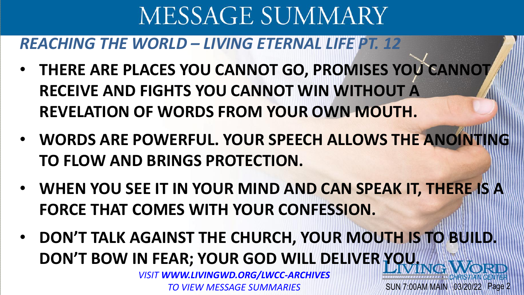#### *REACHING THE WORLD – LIVING ETERNAL LIFE PT. 12*

- **THERE ARE PLACES YOU CANNOT GO, PROMISES YOU CANNOT RECEIVE AND FIGHTS YOU CANNOT WIN WITHOUT A REVELATION OF WORDS FROM YOUR OWN MOUTH.**
- **WORDS ARE POWERFUL. YOUR SPEECH ALLOWS THE ANOINTING TO FLOW AND BRINGS PROTECTION.**
- **WHEN YOU SEE IT IN YOUR MIND AND CAN SPEAK IT, THERE IS A FORCE THAT COMES WITH YOUR CONFESSION.**
- **DON'T TALK AGAINST THE CHURCH, YOUR MOUTH IS TO BUILD. DON'T BOW IN FEAR; YOUR GOD WILL DELIVER YOU.**

SUN 7:00AM MAIN 03/20/22 Page 2

*VISIT WWW.LIVINGWD.ORG/LWCC-ARCHIVES TO VIEW MESSAGE SUMMARIES*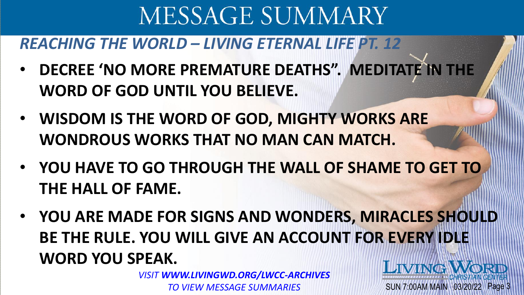### *REACHING THE WORLD – LIVING ETERNAL LIFE PT. 12*

- **DECREE 'NO MORE PREMATURE DEATHS". MEDITATE IN THE WORD OF GOD UNTIL YOU BELIEVE.**
- **WISDOM IS THE WORD OF GOD, MIGHTY WORKS ARE WONDROUS WORKS THAT NO MAN CAN MATCH.**
- **YOU HAVE TO GO THROUGH THE WALL OF SHAME TO GET TO THE HALL OF FAME.**
- **YOU ARE MADE FOR SIGNS AND WONDERS, MIRACLES SHOULD BE THE RULE. YOU WILL GIVE AN ACCOUNT FOR EVERY IDLE WORD YOU SPEAK. LIVING WORD**

SUN 7:00AM MAIN 03/20/22 Page 3

*VISIT WWW.LIVINGWD.ORG/LWCC-ARCHIVES TO VIEW MESSAGE SUMMARIES*